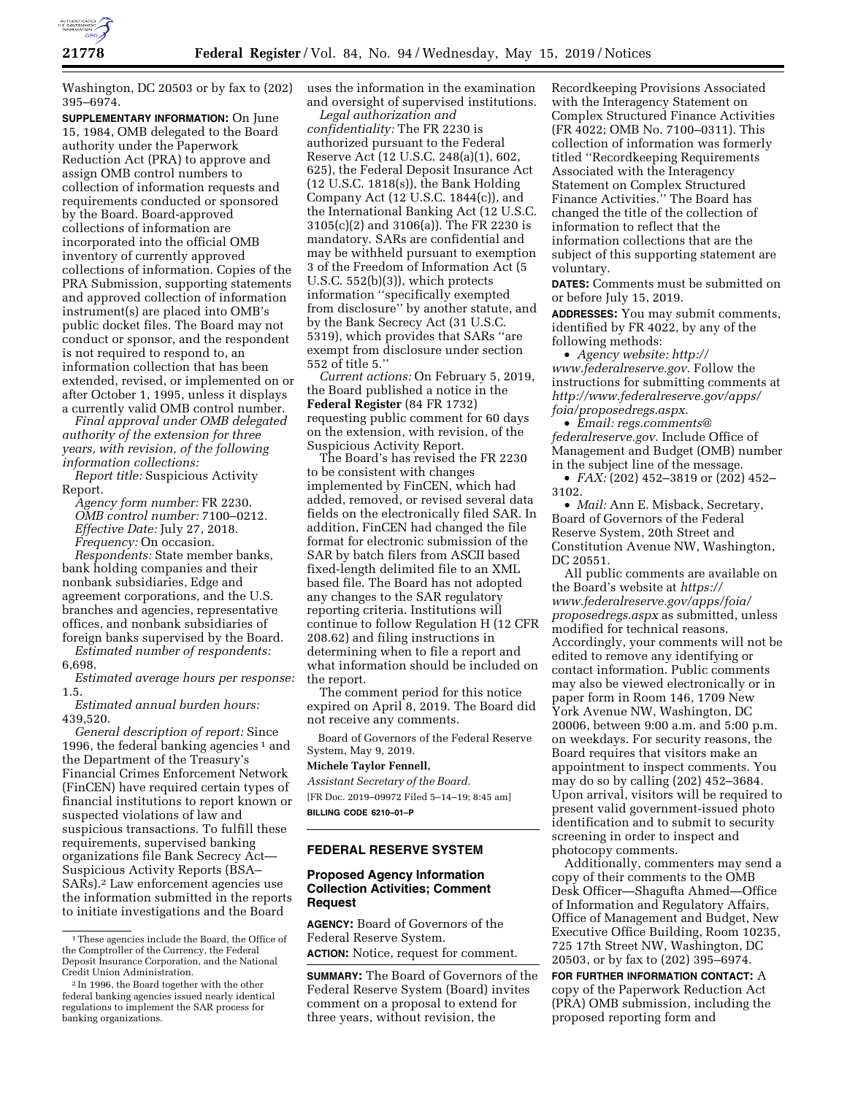

Washington, DC 20503 or by fax to (202) 395–6974.

**SUPPLEMENTARY INFORMATION:** On June 15, 1984, OMB delegated to the Board authority under the Paperwork Reduction Act (PRA) to approve and assign OMB control numbers to collection of information requests and requirements conducted or sponsored by the Board. Board-approved collections of information are incorporated into the official OMB inventory of currently approved collections of information. Copies of the PRA Submission, supporting statements and approved collection of information instrument(s) are placed into OMB's public docket files. The Board may not conduct or sponsor, and the respondent is not required to respond to, an information collection that has been extended, revised, or implemented on or after October 1, 1995, unless it displays a currently valid OMB control number.

*Final approval under OMB delegated authority of the extension for three years, with revision, of the following information collections:* 

*Report title:* Suspicious Activity Report.

*Agency form number:* FR 2230. *OMB control number:* 7100–0212. *Effective Date:* July 27, 2018. *Frequency:* On occasion.

*Respondents:* State member banks, bank holding companies and their nonbank subsidiaries, Edge and agreement corporations, and the U.S. branches and agencies, representative offices, and nonbank subsidiaries of foreign banks supervised by the Board.

*Estimated number of respondents:*  6,698.

*Estimated average hours per response:*  1.5.

*Estimated annual burden hours:*  439,520.

*General description of report:* Since 1996, the federal banking agencies<sup>1</sup> and the Department of the Treasury's Financial Crimes Enforcement Network (FinCEN) have required certain types of financial institutions to report known or suspected violations of law and suspicious transactions. To fulfill these requirements, supervised banking organizations file Bank Secrecy Act— Suspicious Activity Reports (BSA– SARs).2 Law enforcement agencies use the information submitted in the reports to initiate investigations and the Board

uses the information in the examination and oversight of supervised institutions.

*Legal authorization and confidentiality:* The FR 2230 is authorized pursuant to the Federal Reserve Act (12 U.S.C. 248(a)(1), 602, 625), the Federal Deposit Insurance Act (12 U.S.C. 1818(s)), the Bank Holding Company Act (12 U.S.C. 1844(c)), and the International Banking Act (12 U.S.C. 3105(c)(2) and 3106(a)). The FR 2230 is mandatory. SARs are confidential and may be withheld pursuant to exemption 3 of the Freedom of Information Act (5 U.S.C. 552(b)(3)), which protects information ''specifically exempted from disclosure'' by another statute, and by the Bank Secrecy Act (31 U.S.C. 5319), which provides that SARs ''are exempt from disclosure under section 552 of title 5.''

*Current actions:* On February 5, 2019, the Board published a notice in the **Federal Register** (84 FR 1732) requesting public comment for 60 days on the extension, with revision, of the Suspicious Activity Report.

The Board's has revised the FR 2230 to be consistent with changes implemented by FinCEN, which had added, removed, or revised several data fields on the electronically filed SAR. In addition, FinCEN had changed the file format for electronic submission of the SAR by batch filers from ASCII based fixed-length delimited file to an XML based file. The Board has not adopted any changes to the SAR regulatory reporting criteria. Institutions will continue to follow Regulation H (12 CFR 208.62) and filing instructions in determining when to file a report and what information should be included on the report.

The comment period for this notice expired on April 8, 2019. The Board did not receive any comments.

Board of Governors of the Federal Reserve System, May 9, 2019.

## **Michele Taylor Fennell,**

*Assistant Secretary of the Board.*  [FR Doc. 2019–09972 Filed 5–14–19; 8:45 am] **BILLING CODE 6210–01–P** 

# **FEDERAL RESERVE SYSTEM**

### **Proposed Agency Information Collection Activities; Comment Request**

**AGENCY:** Board of Governors of the Federal Reserve System. **ACTION:** Notice, request for comment.

**SUMMARY:** The Board of Governors of the Federal Reserve System (Board) invites comment on a proposal to extend for three years, without revision, the

Recordkeeping Provisions Associated with the Interagency Statement on Complex Structured Finance Activities (FR 4022; OMB No. 7100–0311). This collection of information was formerly titled ''Recordkeeping Requirements Associated with the Interagency Statement on Complex Structured Finance Activities.'' The Board has changed the title of the collection of information to reflect that the information collections that are the subject of this supporting statement are voluntary.

**DATES:** Comments must be submitted on or before July 15, 2019.

**ADDRESSES:** You may submit comments, identified by FR 4022, by any of the following methods:

• *Agency website: [http://](http://www.federalreserve.gov) [www.federalreserve.gov.](http://www.federalreserve.gov)* Follow the instructions for submitting comments at *[http://www.federalreserve.gov/apps/](http://www.federalreserve.gov/apps/foia/proposedregs.aspx) [foia/proposedregs.aspx.](http://www.federalreserve.gov/apps/foia/proposedregs.aspx)* 

• *Email: [regs.comments@](mailto:regs.comments@federalreserve.gov) [federalreserve.gov.](mailto:regs.comments@federalreserve.gov)* Include Office of Management and Budget (OMB) number in the subject line of the message.

• *FAX:* (202) 452–3819 or (202) 452– 3102.

• *Mail:* Ann E. Misback, Secretary, Board of Governors of the Federal Reserve System, 20th Street and Constitution Avenue NW, Washington, DC 20551

All public comments are available on the Board's website at *[https://](https://www.federalreserve.gov/apps/foia/proposedregs.aspx) [www.federalreserve.gov/apps/foia/](https://www.federalreserve.gov/apps/foia/proposedregs.aspx) [proposedregs.aspx](https://www.federalreserve.gov/apps/foia/proposedregs.aspx)* as submitted, unless modified for technical reasons. Accordingly, your comments will not be edited to remove any identifying or contact information. Public comments may also be viewed electronically or in paper form in Room 146, 1709 New York Avenue NW, Washington, DC 20006, between 9:00 a.m. and 5:00 p.m. on weekdays. For security reasons, the Board requires that visitors make an appointment to inspect comments. You may do so by calling (202) 452–3684. Upon arrival, visitors will be required to present valid government-issued photo identification and to submit to security screening in order to inspect and photocopy comments.

Additionally, commenters may send a copy of their comments to the OMB Desk Officer—Shagufta Ahmed—Office of Information and Regulatory Affairs, Office of Management and Budget, New Executive Office Building, Room 10235, 725 17th Street NW, Washington, DC 20503, or by fax to (202) 395–6974.

**FOR FURTHER INFORMATION CONTACT:** A copy of the Paperwork Reduction Act (PRA) OMB submission, including the proposed reporting form and

<sup>1</sup>These agencies include the Board, the Office of the Comptroller of the Currency, the Federal Deposit Insurance Corporation, and the National Credit Union Administration.

<sup>2</sup> In 1996, the Board together with the other federal banking agencies issued nearly identical regulations to implement the SAR process for banking organizations.